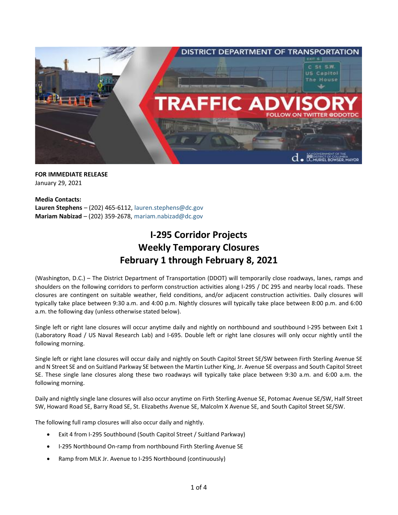

## **FOR IMMEDIATE RELEASE** January 29, 2021

**Media Contacts: Lauren Stephens** – (202) 465-6112, [lauren.stephens@dc.gov](mailto:lauren.stephens@dc.gov) **Mariam Nabizad** – (202) 359-2678, [mariam.nabizad@dc.gov](mailto:mariam.nabizad@dc.gov)

# **I-295 Corridor Projects Weekly Temporary Closures February 1 through February 8, 2021**

(Washington, D.C.) – The District Department of Transportation (DDOT) will temporarily close roadways, lanes, ramps and shoulders on the following corridors to perform construction activities along I-295 / DC 295 and nearby local roads. These closures are contingent on suitable weather, field conditions, and/or adjacent construction activities. Daily closures will typically take place between 9:30 a.m. and 4:00 p.m. Nightly closures will typically take place between 8:00 p.m. and 6:00 a.m. the following day (unless otherwise stated below).

Single left or right lane closures will occur anytime daily and nightly on northbound and southbound I-295 between Exit 1 (Laboratory Road / US Naval Research Lab) and I-695. Double left or right lane closures will only occur nightly until the following morning.

Single left or right lane closures will occur daily and nightly on South Capitol Street SE/SW between Firth Sterling Avenue SE and N Street SE and on Suitland Parkway SE between the Martin Luther King, Jr. Avenue SE overpass and South Capitol Street SE. These single lane closures along these two roadways will typically take place between 9:30 a.m. and 6:00 a.m. the following morning.

Daily and nightly single lane closures will also occur anytime on Firth Sterling Avenue SE, Potomac Avenue SE/SW, Half Street SW, Howard Road SE, Barry Road SE, St. Elizabeths Avenue SE, Malcolm X Avenue SE, and South Capitol Street SE/SW.

The following full ramp closures will also occur daily and nightly.

- Exit 4 from I-295 Southbound (South Capitol Street / Suitland Parkway)
- I-295 Northbound On-ramp from northbound Firth Sterling Avenue SE
- Ramp from MLK Jr. Avenue to I-295 Northbound (continuously)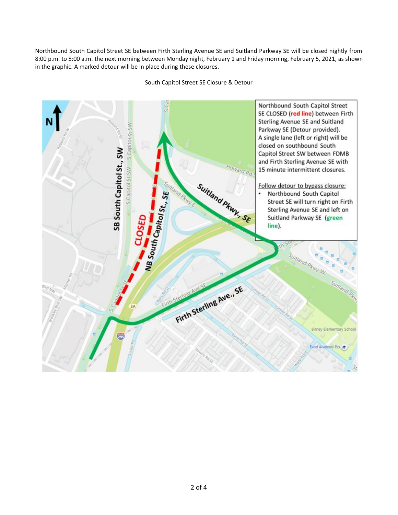Northbound South Capitol Street SE between Firth Sterling Avenue SE and Suitland Parkway SE will be closed nightly from 8:00 p.m. to 5:00 a.m. the next morning between Monday night, February 1 and Friday morning, February 5, 2021, as shown in the graphic. A marked detour will be in place during these closures.



South Capitol Street SE Closure & Detour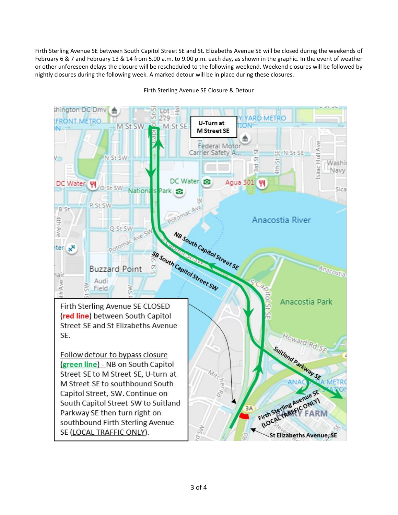Firth Sterling Avenue SE between South Capitol Street SE and St. Elizabeths Avenue SE will be closed during the weekends of February 6 & 7 and February 13 & 14 from 5.00 a.m. to 9.00 p.m. each day, as shown in the graphic. In the event of weather or other unforeseen delays the closure will be rescheduled to the following weekend. Weekend closures will be followed by nightly closures during the following week. A marked detour will be in place during these closures.



## Firth Sterling Avenue SE Closure & Detour